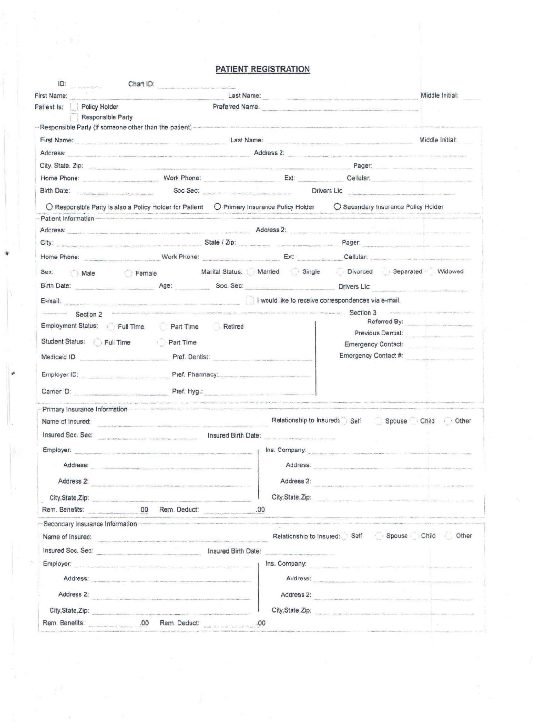### **PATIENT REGISTRATION**

| First Name:<br>Last Name:<br>Preferred Name: |                                                                                                                                                                                                                                     |                                                                                                                                                                                                                                |                                                                                                                                                                                                                                      |                                                                                                                  |                                                                                                                                                                                                                               |  |  |
|----------------------------------------------|-------------------------------------------------------------------------------------------------------------------------------------------------------------------------------------------------------------------------------------|--------------------------------------------------------------------------------------------------------------------------------------------------------------------------------------------------------------------------------|--------------------------------------------------------------------------------------------------------------------------------------------------------------------------------------------------------------------------------------|------------------------------------------------------------------------------------------------------------------|-------------------------------------------------------------------------------------------------------------------------------------------------------------------------------------------------------------------------------|--|--|
| Policy Holder<br>Patient Is:                 |                                                                                                                                                                                                                                     |                                                                                                                                                                                                                                |                                                                                                                                                                                                                                      |                                                                                                                  |                                                                                                                                                                                                                               |  |  |
| Responsible Party                            | Responsible Party (if someone other than the patient)-                                                                                                                                                                              | a construction of the first contract of the construction of the construction of the construction of the construction of the construction of the construction of the construction of the construction of the construction of th |                                                                                                                                                                                                                                      |                                                                                                                  |                                                                                                                                                                                                                               |  |  |
|                                              |                                                                                                                                                                                                                                     |                                                                                                                                                                                                                                |                                                                                                                                                                                                                                      |                                                                                                                  | Middle Initial:                                                                                                                                                                                                               |  |  |
| Address:                                     | <b>Eirst Name:</b> Cast Name: Cast Name: Cast Name: Cast Name: Cast Name: Cast Name: Cast Name: Cast Name: Cast Name: Cast Name: Cast Name: Cast Name: Cast Name: Cast Name: Cast Name: Cast Name: Cast Name: Cast Name: Cast Name: |                                                                                                                                                                                                                                |                                                                                                                                                                                                                                      |                                                                                                                  |                                                                                                                                                                                                                               |  |  |
|                                              |                                                                                                                                                                                                                                     |                                                                                                                                                                                                                                |                                                                                                                                                                                                                                      |                                                                                                                  | Address 2:                                                                                                                                                                                                                    |  |  |
|                                              | City, State; Zip: www.communication.com/www.com/www.com/www.com/www.com/www.com/www.com/www.com/www.                                                                                                                                |                                                                                                                                                                                                                                |                                                                                                                                                                                                                                      |                                                                                                                  | Pager: Pager:                                                                                                                                                                                                                 |  |  |
|                                              | Home Phone: Cellular: Cellular: Cellular: Cellular: Cellular: Cellular: Cellular: Cellular: Cellular: Cellular: Cellular: Cellular: Cellular: Cellular: Cellular: Cellular: Cellular: Cellular: Cellular: Cellular: Cellular:       |                                                                                                                                                                                                                                |                                                                                                                                                                                                                                      |                                                                                                                  | Soc Sec: <b>Example 2018</b> Drivers Lic:                                                                                                                                                                                     |  |  |
| Birth Date:                                  |                                                                                                                                                                                                                                     |                                                                                                                                                                                                                                |                                                                                                                                                                                                                                      |                                                                                                                  |                                                                                                                                                                                                                               |  |  |
|                                              | ○ Responsible Party is also a Policy Holder for Patient ○ Primary Insurance Policy Holder                                                                                                                                           |                                                                                                                                                                                                                                |                                                                                                                                                                                                                                      |                                                                                                                  | O Secondary Insurance Policy Holder                                                                                                                                                                                           |  |  |
| Patient Information                          |                                                                                                                                                                                                                                     |                                                                                                                                                                                                                                |                                                                                                                                                                                                                                      |                                                                                                                  |                                                                                                                                                                                                                               |  |  |
|                                              | Address: Address:                                                                                                                                                                                                                   |                                                                                                                                                                                                                                |                                                                                                                                                                                                                                      |                                                                                                                  |                                                                                                                                                                                                                               |  |  |
|                                              | City: Pager: Pager: Pager: Pager: Pager: Pager: Pager: Pager: Pager: Pager: Pager: Pager: Pager: Pager: Pager: Pager: Pager: Pager: Pager: Pager: Pager: Pager: Pager: Pager: Pager: Pager: Pager: Pager: Pager: Pager: Pager:      |                                                                                                                                                                                                                                |                                                                                                                                                                                                                                      |                                                                                                                  |                                                                                                                                                                                                                               |  |  |
|                                              | Home Phone: Work Phone: Work Phone: Ext: Cellular: Cellular:                                                                                                                                                                        |                                                                                                                                                                                                                                |                                                                                                                                                                                                                                      |                                                                                                                  |                                                                                                                                                                                                                               |  |  |
| Sex:                                         |                                                                                                                                                                                                                                     |                                                                                                                                                                                                                                |                                                                                                                                                                                                                                      |                                                                                                                  | Divorced Separated Widowed                                                                                                                                                                                                    |  |  |
|                                              | Birth Date: Age: Age: Soc. Sec:                                                                                                                                                                                                     |                                                                                                                                                                                                                                |                                                                                                                                                                                                                                      |                                                                                                                  | Drivers Lic: <b>Example 2019</b>                                                                                                                                                                                              |  |  |
|                                              | E-mail: Twould like to receive correspondences via e-mail.                                                                                                                                                                          |                                                                                                                                                                                                                                |                                                                                                                                                                                                                                      |                                                                                                                  |                                                                                                                                                                                                                               |  |  |
|                                              | Section 2 Section 3                                                                                                                                                                                                                 |                                                                                                                                                                                                                                |                                                                                                                                                                                                                                      |                                                                                                                  | disputible in active access to the collection component matrix (s) and collection                                                                                                                                             |  |  |
| Employment Status: Full Time                 | Part Time Retired                                                                                                                                                                                                                   |                                                                                                                                                                                                                                |                                                                                                                                                                                                                                      |                                                                                                                  | Referred By: Network of the Second State and Second State and Second State and Second State and Second State and Second State and Second State and Second State and Second State and Second State and Second State and Second |  |  |
|                                              |                                                                                                                                                                                                                                     |                                                                                                                                                                                                                                |                                                                                                                                                                                                                                      | Previous Dentist:<br>Student Status: Full Time Part Time                                                         |                                                                                                                                                                                                                               |  |  |
|                                              |                                                                                                                                                                                                                                     |                                                                                                                                                                                                                                |                                                                                                                                                                                                                                      |                                                                                                                  |                                                                                                                                                                                                                               |  |  |
|                                              |                                                                                                                                                                                                                                     |                                                                                                                                                                                                                                |                                                                                                                                                                                                                                      |                                                                                                                  | Emergency Contact:                                                                                                                                                                                                            |  |  |
|                                              | Medicaid ID: Pref. Dentist:                                                                                                                                                                                                         |                                                                                                                                                                                                                                |                                                                                                                                                                                                                                      | Emergency Contact #:                                                                                             |                                                                                                                                                                                                                               |  |  |
| Employer ID: Employer ID:                    |                                                                                                                                                                                                                                     | Pref. Pharmacy.                                                                                                                                                                                                                |                                                                                                                                                                                                                                      |                                                                                                                  |                                                                                                                                                                                                                               |  |  |
|                                              |                                                                                                                                                                                                                                     |                                                                                                                                                                                                                                |                                                                                                                                                                                                                                      |                                                                                                                  |                                                                                                                                                                                                                               |  |  |
|                                              |                                                                                                                                                                                                                                     | Pref. Hyg.:                                                                                                                                                                                                                    | <b>A PROVIDED TO ASSESS THE REPORT OF A LIFE CONTROLL OF A REPORT OF A STATE OF A STATE OF A STATE OF A STATE OF A STATE OF A STATE OF A STATE OF A STATE OF A STATE OF A STATE OF A STATE OF A STATE OF A STATE OF A STATE OF A</b> |                                                                                                                  |                                                                                                                                                                                                                               |  |  |
| Primary Insurance Information                |                                                                                                                                                                                                                                     |                                                                                                                                                                                                                                |                                                                                                                                                                                                                                      |                                                                                                                  |                                                                                                                                                                                                                               |  |  |
| Name of Insured:                             |                                                                                                                                                                                                                                     |                                                                                                                                                                                                                                | Relationship to Insured: Self                                                                                                                                                                                                        |                                                                                                                  | Spouse Child Other                                                                                                                                                                                                            |  |  |
|                                              | Insured Soc. Sec: Manufacturer (Sec. 2014) Insured Birth Date:                                                                                                                                                                      |                                                                                                                                                                                                                                | and come the contribution of programs and contract and                                                                                                                                                                               |                                                                                                                  |                                                                                                                                                                                                                               |  |  |
|                                              | Employer.                                                                                                                                                                                                                           |                                                                                                                                                                                                                                |                                                                                                                                                                                                                                      |                                                                                                                  | Ins. Company:                                                                                                                                                                                                                 |  |  |
| Address:                                     |                                                                                                                                                                                                                                     |                                                                                                                                                                                                                                | Address:                                                                                                                                                                                                                             |                                                                                                                  |                                                                                                                                                                                                                               |  |  |
| Address 2:                                   |                                                                                                                                                                                                                                     |                                                                                                                                                                                                                                | Address 2:                                                                                                                                                                                                                           |                                                                                                                  |                                                                                                                                                                                                                               |  |  |
|                                              | the contract of the contract of the contract of the community and contract the contract of the contract of the                                                                                                                      |                                                                                                                                                                                                                                |                                                                                                                                                                                                                                      |                                                                                                                  |                                                                                                                                                                                                                               |  |  |
| City, State, Zip: City, State, Zip:          |                                                                                                                                                                                                                                     | .00                                                                                                                                                                                                                            | City, State, Zip:                                                                                                                                                                                                                    | und Education companies in the companies and companies to the companies of the companies of the companies of the |                                                                                                                                                                                                                               |  |  |
|                                              |                                                                                                                                                                                                                                     |                                                                                                                                                                                                                                |                                                                                                                                                                                                                                      |                                                                                                                  |                                                                                                                                                                                                                               |  |  |
| Secondary Insurance Information              |                                                                                                                                                                                                                                     |                                                                                                                                                                                                                                |                                                                                                                                                                                                                                      |                                                                                                                  |                                                                                                                                                                                                                               |  |  |
| Name of Insured:                             |                                                                                                                                                                                                                                     |                                                                                                                                                                                                                                |                                                                                                                                                                                                                                      |                                                                                                                  | Relationship to Insured: Self Spouse Child Other                                                                                                                                                                              |  |  |
|                                              | Insured Soc. Sec: 1999. [1] Insured Birth Date:                                                                                                                                                                                     |                                                                                                                                                                                                                                |                                                                                                                                                                                                                                      |                                                                                                                  |                                                                                                                                                                                                                               |  |  |
|                                              | Employer:                                                                                                                                                                                                                           |                                                                                                                                                                                                                                |                                                                                                                                                                                                                                      |                                                                                                                  | Ins. Company:                                                                                                                                                                                                                 |  |  |
|                                              | Address:                                                                                                                                                                                                                            |                                                                                                                                                                                                                                |                                                                                                                                                                                                                                      | Address:                                                                                                         |                                                                                                                                                                                                                               |  |  |
| Address 2:                                   |                                                                                                                                                                                                                                     |                                                                                                                                                                                                                                |                                                                                                                                                                                                                                      |                                                                                                                  | Address 2:                                                                                                                                                                                                                    |  |  |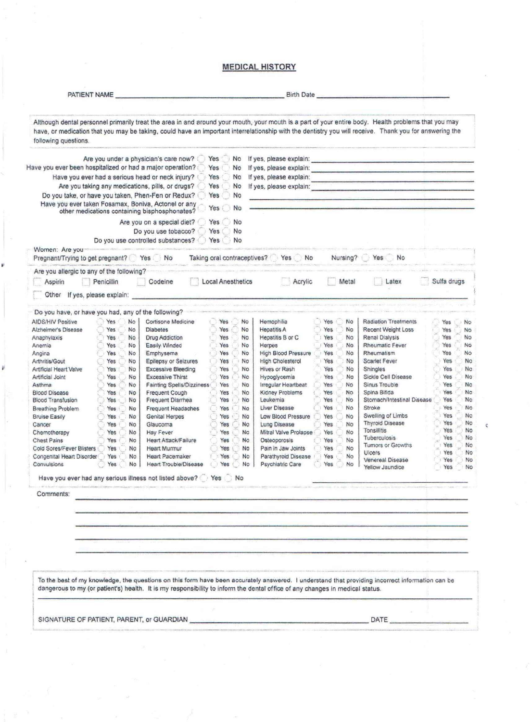#### **MEDICAL HISTORY**

| Although dental personnel primarily treat the area in and around your mouth, your mouth is a part of your entire body. Health problems that you may<br>have, or medication that you may be taking, could have an important interrelationship with the dentistry you will receive. Thank you for answering the<br>following questions. |                                                        |                          |                                                            |                                                                                                                                                                                                                                |                                                 |                        |
|---------------------------------------------------------------------------------------------------------------------------------------------------------------------------------------------------------------------------------------------------------------------------------------------------------------------------------------|--------------------------------------------------------|--------------------------|------------------------------------------------------------|--------------------------------------------------------------------------------------------------------------------------------------------------------------------------------------------------------------------------------|-------------------------------------------------|------------------------|
| Are you under a physician's care now?                                                                                                                                                                                                                                                                                                 |                                                        | Yes<br>No                |                                                            |                                                                                                                                                                                                                                |                                                 |                        |
| Have you ever been hospitalized or had a major operation?                                                                                                                                                                                                                                                                             |                                                        | Yes<br>No                |                                                            | If yes, please explain:                                                                                                                                                                                                        |                                                 |                        |
| If yes, please explain:<br>Have you ever had a serious head or neck injury?<br>Yes<br>No                                                                                                                                                                                                                                              |                                                        |                          |                                                            |                                                                                                                                                                                                                                |                                                 |                        |
| Are you taking any medications, pills, or drugs?                                                                                                                                                                                                                                                                                      |                                                        | Yes<br>No                |                                                            | If yes, please explain: The annual state of the state of the state of the state of the state of the state of the state of the state of the state of the state of the state of the state of the state of the state of the state |                                                 |                        |
| Do you take, or have you taken, Phen-Fen or Redux?<br>Have you ever taken Fosamax, Boniva, Actonel or any<br>other medications containing bisphosphonates?                                                                                                                                                                            |                                                        | Yes<br>No<br>Yes<br>No   |                                                            |                                                                                                                                                                                                                                |                                                 |                        |
|                                                                                                                                                                                                                                                                                                                                       |                                                        | No<br>Yes                |                                                            |                                                                                                                                                                                                                                |                                                 |                        |
| Are you on a special diet?<br>Do you use tobacco?                                                                                                                                                                                                                                                                                     |                                                        | Yes<br>No                |                                                            |                                                                                                                                                                                                                                |                                                 |                        |
|                                                                                                                                                                                                                                                                                                                                       | Do you use controlled substances?                      | Yes<br>No                |                                                            |                                                                                                                                                                                                                                |                                                 |                        |
| Women: Are you<br>Pregnant/Trying to get pregnant? Yes No                                                                                                                                                                                                                                                                             |                                                        |                          | Taking oral contraceptives? Yes No                         |                                                                                                                                                                                                                                | Nursing? Yes No                                 |                        |
| Are you allergic to any of the following?                                                                                                                                                                                                                                                                                             |                                                        |                          |                                                            |                                                                                                                                                                                                                                |                                                 |                        |
| Aspirin<br>Penicillin                                                                                                                                                                                                                                                                                                                 | Codeine                                                | <b>Local Anesthetics</b> | Acrylic                                                    | Metal                                                                                                                                                                                                                          | Latex                                           | Sulfa drugs            |
| Other If yes, please explain:                                                                                                                                                                                                                                                                                                         |                                                        |                          |                                                            |                                                                                                                                                                                                                                |                                                 |                        |
| Do you have, or have you had, any of the following?<br><b>AIDS/HIV Positive</b><br>No<br>Yes.                                                                                                                                                                                                                                         | Cortisone Medicine                                     | Yes                      | Hemophilia<br>No                                           | <b>No</b><br>Yes                                                                                                                                                                                                               | <b>Radiation Treatments</b>                     | Yes<br>No              |
| Alzheimer's Disease<br>Yes<br>No                                                                                                                                                                                                                                                                                                      | <b>Diabetes</b>                                        | Yes                      | No<br><b>Hepatitis A</b>                                   | Yes<br>No                                                                                                                                                                                                                      | Recent Weight Loss                              | Yes<br>No              |
| No<br>Anaphylaxis<br>Yes                                                                                                                                                                                                                                                                                                              | <b>Drug Addiction</b>                                  | Yes                      | No<br>Hepatitis B or C                                     | Yes<br>No                                                                                                                                                                                                                      | Renal Dialysis                                  | Yes<br><b>No</b>       |
| Anemia<br>Yes<br>No                                                                                                                                                                                                                                                                                                                   | Easily Winded                                          | Yes                      | No<br><b>Herpes</b>                                        | Yes<br>No.                                                                                                                                                                                                                     | Rheumatic Fever                                 | Yes<br>No              |
| No<br>Yes<br>Angina                                                                                                                                                                                                                                                                                                                   | Emphysema                                              | Yes                      | No<br><b>High Blood Pressure</b>                           | Yes<br>No                                                                                                                                                                                                                      | Rheumatism                                      | Yes<br>No              |
| Arthritis/Gout<br>Yes<br>No                                                                                                                                                                                                                                                                                                           | Epilepsy or Seizures                                   | Yes                      | No<br><b>High Cholesterol</b>                              | Yes<br>No                                                                                                                                                                                                                      | Scarlet Fever                                   | Yes<br>No              |
| No<br>Artificial Heart Valve<br>Yes                                                                                                                                                                                                                                                                                                   | <b>Excessive Bleeding</b>                              | Yes                      | No.<br><b>Hives or Rash</b>                                | Yes<br>No                                                                                                                                                                                                                      | Shingles                                        | No<br>Yes              |
| Artificial Joint<br>Yes<br>No                                                                                                                                                                                                                                                                                                         | <b>Excessive Thirst</b>                                | Yes                      | No<br>Hypoglycemia                                         | Yes<br>No                                                                                                                                                                                                                      | Sickle Cell Disease                             | Yes<br>No              |
| Asthma<br>Yes<br>No<br>Yes<br><b>No</b><br><b>Blood Disease</b>                                                                                                                                                                                                                                                                       | <b>Fainting Spells/Dizziness</b><br>Frequent Cough     | Yes<br>Yes               | Irregular Heartbeat<br>No<br>No<br>Kidney Problems         | Yes<br>No<br>Yes<br>No.                                                                                                                                                                                                        | Sinus Trouble<br>Spina Bifida                   | Yes<br>No<br>Yes<br>No |
| <b>Blood Transfusion</b><br>Yes<br>No                                                                                                                                                                                                                                                                                                 | Frequent Diarrhea                                      | Yes                      | No<br>Leukemia                                             | No<br>Yes                                                                                                                                                                                                                      | Stomach/Intestinal Disease                      | Yes<br>No              |
| Breathing Problem<br>No<br>Yes                                                                                                                                                                                                                                                                                                        | Frequent Headaches                                     | Yes                      | Liver Disease<br>No                                        | Yes<br>No                                                                                                                                                                                                                      | Stroke                                          | Yes<br>No              |
| No<br><b>Bruise Easily</b><br>Yes                                                                                                                                                                                                                                                                                                     | Genital Herpes                                         | Yes                      | Low Blood Pressure<br>No                                   | Yes<br>No                                                                                                                                                                                                                      | Swelling of Limbs                               | Yes<br>No              |
| Cancer<br>Yes<br><b>No</b>                                                                                                                                                                                                                                                                                                            | Glaucoma                                               | Yes                      | No<br>Lung Disease                                         | Yes<br>No                                                                                                                                                                                                                      | <b>Thyroid Disease</b>                          | Yes<br>No              |
| Yes<br>No<br>Chemotherapy                                                                                                                                                                                                                                                                                                             | <b>Hay Fever</b>                                       | Yes                      | Mitral Valve Prolapse<br>No.                               | Yes<br>No                                                                                                                                                                                                                      | Tonsilitis                                      | Yes<br>No              |
| <b>Chest Pains</b><br>Yes<br>No                                                                                                                                                                                                                                                                                                       | Heart Attack/Failure                                   | Yes                      | No<br>Osteoporosis                                         | Yes<br>No                                                                                                                                                                                                                      | <b>Tuberculosis</b><br><b>Tumors or Growths</b> | Yes<br>No<br>Yes<br>No |
| Cold Sores/Fever Blisters<br>Yes<br>No                                                                                                                                                                                                                                                                                                | <b>Heart Murmur</b>                                    | Yes                      | No<br>Pain in Jaw Joints                                   | Yes<br>No                                                                                                                                                                                                                      | Ulcers                                          | Yes<br>No              |
| Congenital Heart Disorder<br>Yes<br>No<br>Convulsions<br>Yes<br>No                                                                                                                                                                                                                                                                    | <b>Heart Pacemaker</b><br><b>Heart Trouble/Disease</b> | Yes<br>Yes               | No<br>Parathyroid Disease<br><b>No</b><br>Psychiatric Care | Yes<br>No<br>Yes<br>No                                                                                                                                                                                                         | Venereal Disease                                | Yes<br>No              |
| Have you ever had any serious illness not listed above? @ Yes @ No                                                                                                                                                                                                                                                                    |                                                        |                          |                                                            |                                                                                                                                                                                                                                | Yellow Jaundice                                 | Yes<br>No              |
| de de la companya de la companya de la companya de la companya de la companya de la companya de la companya de<br>Comments:                                                                                                                                                                                                           |                                                        |                          |                                                            |                                                                                                                                                                                                                                |                                                 |                        |
|                                                                                                                                                                                                                                                                                                                                       |                                                        |                          |                                                            |                                                                                                                                                                                                                                |                                                 |                        |
|                                                                                                                                                                                                                                                                                                                                       |                                                        |                          |                                                            |                                                                                                                                                                                                                                |                                                 |                        |
|                                                                                                                                                                                                                                                                                                                                       |                                                        |                          |                                                            |                                                                                                                                                                                                                                |                                                 |                        |
|                                                                                                                                                                                                                                                                                                                                       |                                                        |                          |                                                            |                                                                                                                                                                                                                                |                                                 |                        |
|                                                                                                                                                                                                                                                                                                                                       |                                                        |                          |                                                            |                                                                                                                                                                                                                                |                                                 |                        |
| To the best of my knowledge, the questions on this form have been accurately answered. I understand that providing incorrect information can be                                                                                                                                                                                       |                                                        |                          |                                                            |                                                                                                                                                                                                                                |                                                 |                        |
| dangerous to my (or patient's) health. It is my responsibility to inform the dental office of any changes in medical status.                                                                                                                                                                                                          |                                                        |                          |                                                            |                                                                                                                                                                                                                                |                                                 |                        |
| SIGNATURE OF PATIENT, PARENT, or GUARDIAN CONTINUES AND RESIDENCE OF PATIENT AND RESIDENCE OF PATIENT AND RESIDENCE OF A SAMPLE OF THE STATE OF THE STATE OF THE STATE OF THE STATE OF THE STATE OF THE STATE OF THE STATE OF                                                                                                         |                                                        |                          |                                                            |                                                                                                                                                                                                                                | DATE                                            |                        |
|                                                                                                                                                                                                                                                                                                                                       |                                                        |                          |                                                            |                                                                                                                                                                                                                                |                                                 |                        |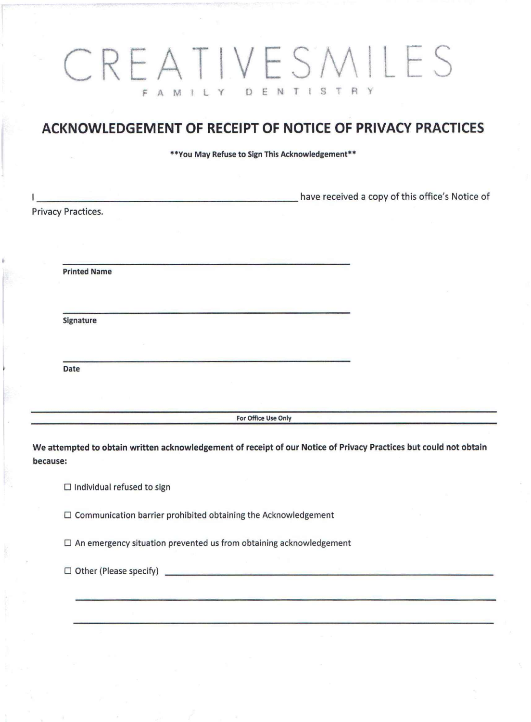# CREATIVESMILES F A MIL Y DENTISTRY

## **ACKNOWLEDGEMENT OF RECEIPT OF NOTICE OF PRIVACY PRACTICES**

\*\*You May Refuse to Sign This Acknowledgement\*\*

•

|                    | <u> Angelse von de Stadt andere som en der der stadt angelse von de stadt angelse von de stadt angelse von de sta</u> | have received a copy of this office's Notice of |
|--------------------|-----------------------------------------------------------------------------------------------------------------------|-------------------------------------------------|
| Privacy Practices. |                                                                                                                       |                                                 |
|                    |                                                                                                                       |                                                 |
|                    | <b>Printed Name</b>                                                                                                   |                                                 |
|                    | Signature                                                                                                             |                                                 |
| Date               |                                                                                                                       |                                                 |
|                    | والمستحدث والمتحاول والمستحدث والمتحدث والمتحدث<br>For Office Use Only                                                |                                                 |
|                    |                                                                                                                       |                                                 |
|                    | We attempted to obtain written acknowledgement of receipt of our Notice of Privacy Practices but could not obtain     |                                                 |
| because:           |                                                                                                                       |                                                 |
|                    | $\Box$ Individual refused to sign                                                                                     |                                                 |
|                    | $\Box$ Communication barrier prohibited obtaining the Acknowledgement                                                 |                                                 |
|                    | $\Box$ An emergency situation prevented us from obtaining acknowledgement                                             |                                                 |
|                    | $\Box$ Other (Please specify)                                                                                         |                                                 |
|                    |                                                                                                                       |                                                 |
|                    |                                                                                                                       |                                                 |
|                    |                                                                                                                       |                                                 |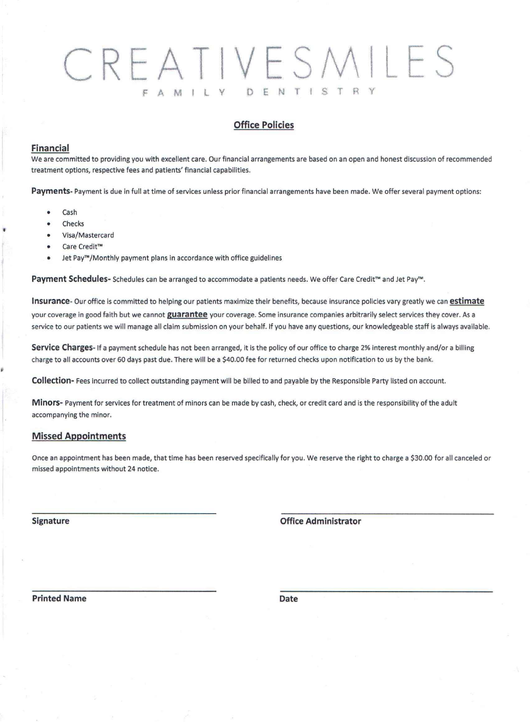# CREATIVESMILES F A M I L Y D E N T I S T R Y

### **Office Policies**

#### **Financial**

We are committed to providing you with excellent care. Our financial arrangements are based on an open and honest discussion of recommended treatment options, respective fees and patients' financial capabilities.

Payments-Payment is due in full at time of services unless prior financial arrangements have been made. We offer several payment options:

- Cash
- **Checks**
- Visa/Mastercard
- Care Credit™
- Jet Pay<sup>m</sup>/Monthly payment plans in accordance with office guidelines

**Payment Schedules-** Schedules can be arranged to accommodate a patients needs. We offer Care Credit™ and Jet Pay'M.

**Insurance-** Our office is committed to helping our patients maximize their benefits, because insurance policies vary greatly we can **estimate** your coverage in good faith but we cannot **guarantee** your coverage. Some insurance companies arbitrarily select services they cover. As a service to our patients we will manage all claim submission on your behalf. If you have any questions, our knowledgeable staff is always available.

**Service Charges-**If a payment schedule has not been arranged, it is the policy of our office to charge 2% interest monthly and/or a billing charge to all accounts over 60 days past due. There will be a \$40.00 fee for returned checks upon notification to us by the bank.

**Collection-** Fees incurred to collect outstanding payment will be billed to and payable by the Responsible Party listed on account.

**Minors-** Payment for services for treatment of minors can be made by cash, check, or credit card and is the responsibility of the adult accompanying the minor.

#### **Missed Appointments**

Once an appointment has been made, that time has been reserved specifically for you. We reserve the right to charge a \$30.00 for all canceled or missed appointments without 24 notice.

**Signature Office Administrator**

**Printed Name Date**